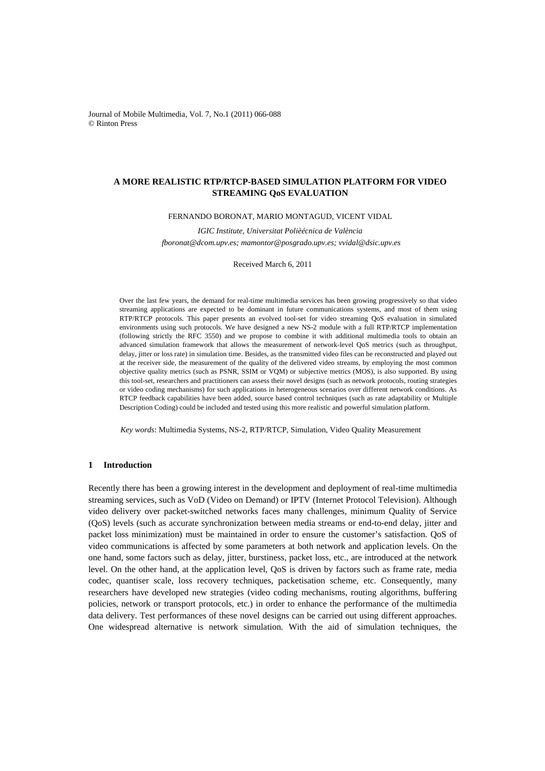Journal of Mobile Multimedia, Vol. 7, No.1 (2011) 066-088 © Rinton Press

# **A MORE REALISTIC RTP/RTCP-BASED SIMULATION PLATFORM FOR VIDEO STREAMING QoS EVALUATION**

## FERNANDO BORONAT, MARIO MONTAGUD, VICENT VIDAL

*IGIC Institute, Universitat Polièécnica de València fboronat@dcom.upv.es; mamontor@posgrado.upv.es; vvidal@dsic.upv.es* 

Received March 6, 2011

Over the last few years, the demand for real-time multimedia services has been growing progressively so that video streaming applications are expected to be dominant in future communications systems, and most of them using RTP/RTCP protocols. This paper presents an evolved tool-set for video streaming QoS evaluation in simulated environments using such protocols. We have designed a new NS-2 module with a full RTP/RTCP implementation (following strictly the RFC 3550) and we propose to combine it with additional multimedia tools to obtain an advanced simulation framework that allows the measurement of network-level QoS metrics (such as throughput, delay, jitter or loss rate) in simulation time. Besides, as the transmitted video files can be reconstructed and played out at the receiver side, the measurement of the quality of the delivered video streams, by employing the most common objective quality metrics (such as PSNR, SSIM or VQM) or subjective metrics (MOS), is also supported. By using this tool-set, researchers and practitioners can assess their novel designs (such as network protocols, routing strategies or video coding mechanisms) for such applications in heterogeneous scenarios over different network conditions. As RTCP feedback capabilities have been added, source based control techniques (such as rate adaptability or Multiple Description Coding) could be included and tested using this more realistic and powerful simulation platform.

*Key words*: Multimedia Systems, NS-2, RTP/RTCP, Simulation, Video Quality Measurement

## **1 Introduction**

Recently there has been a growing interest in the development and deployment of real-time multimedia streaming services, such as VoD (Video on Demand) or IPTV (Internet Protocol Television). Although video delivery over packet-switched networks faces many challenges, minimum Quality of Service (QoS) levels (such as accurate synchronization between media streams or end-to-end delay, jitter and packet loss minimization) must be maintained in order to ensure the customer's satisfaction. QoS of video communications is affected by some parameters at both network and application levels. On the one hand, some factors such as delay, jitter, burstiness, packet loss, etc., are introduced at the network level. On the other hand, at the application level, QoS is driven by factors such as frame rate, media codec, quantiser scale, loss recovery techniques, packetisation scheme, etc. Consequently, many researchers have developed new strategies (video coding mechanisms, routing algorithms, buffering policies, network or transport protocols, etc.) in order to enhance the performance of the multimedia data delivery. Test performances of these novel designs can be carried out using different approaches. One widespread alternative is network simulation. With the aid of simulation techniques, the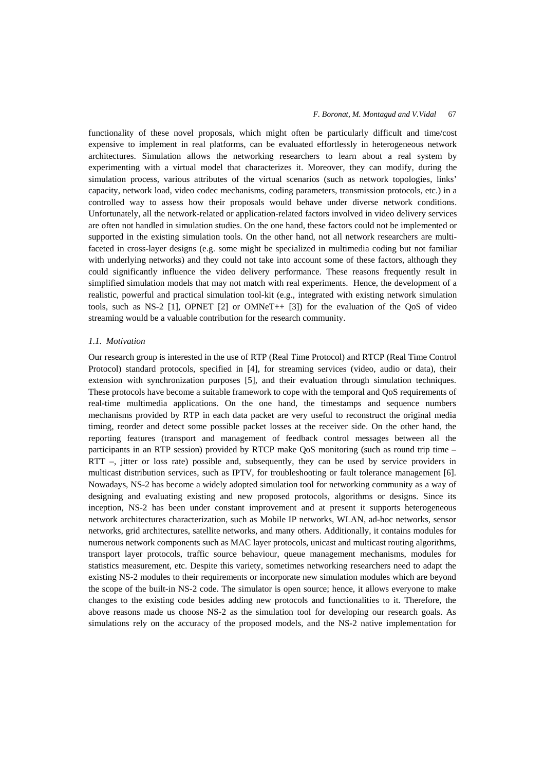functionality of these novel proposals, which might often be particularly difficult and time/cost expensive to implement in real platforms, can be evaluated effortlessly in heterogeneous network architectures. Simulation allows the networking researchers to learn about a real system by experimenting with a virtual model that characterizes it. Moreover, they can modify, during the simulation process, various attributes of the virtual scenarios (such as network topologies, links' capacity, network load, video codec mechanisms, coding parameters, transmission protocols, etc.) in a controlled way to assess how their proposals would behave under diverse network conditions. Unfortunately, all the network-related or application-related factors involved in video delivery services are often not handled in simulation studies. On the one hand, these factors could not be implemented or supported in the existing simulation tools. On the other hand, not all network researchers are multifaceted in cross-layer designs (e.g. some might be specialized in multimedia coding but not familiar with underlying networks) and they could not take into account some of these factors, although they could significantly influence the video delivery performance. These reasons frequently result in simplified simulation models that may not match with real experiments. Hence, the development of a realistic, powerful and practical simulation tool-kit (e.g., integrated with existing network simulation tools, such as NS-2 [1], OPNET [2] or OMNeT++ [3]) for the evaluation of the QoS of video streaming would be a valuable contribution for the research community.

#### *1.1. Motivation*

Our research group is interested in the use of RTP (Real Time Protocol) and RTCP (Real Time Control Protocol) standard protocols, specified in [4], for streaming services (video, audio or data), their extension with synchronization purposes [5], and their evaluation through simulation techniques. These protocols have become a suitable framework to cope with the temporal and QoS requirements of real-time multimedia applications. On the one hand, the timestamps and sequence numbers mechanisms provided by RTP in each data packet are very useful to reconstruct the original media timing, reorder and detect some possible packet losses at the receiver side. On the other hand, the reporting features (transport and management of feedback control messages between all the participants in an RTP session) provided by RTCP make QoS monitoring (such as round trip time – RTT –, jitter or loss rate) possible and, subsequently, they can be used by service providers in multicast distribution services, such as IPTV, for troubleshooting or fault tolerance management [6]. Nowadays, NS-2 has become a widely adopted simulation tool for networking community as a way of designing and evaluating existing and new proposed protocols, algorithms or designs. Since its inception, NS-2 has been under constant improvement and at present it supports heterogeneous network architectures characterization, such as Mobile IP networks, WLAN, ad-hoc networks, sensor networks, grid architectures, satellite networks, and many others. Additionally, it contains modules for numerous network components such as MAC layer protocols, unicast and multicast routing algorithms, transport layer protocols, traffic source behaviour, queue management mechanisms, modules for statistics measurement, etc. Despite this variety, sometimes networking researchers need to adapt the existing NS-2 modules to their requirements or incorporate new simulation modules which are beyond the scope of the built-in NS-2 code. The simulator is open source; hence, it allows everyone to make changes to the existing code besides adding new protocols and functionalities to it. Therefore, the above reasons made us choose NS-2 as the simulation tool for developing our research goals. As simulations rely on the accuracy of the proposed models, and the NS-2 native implementation for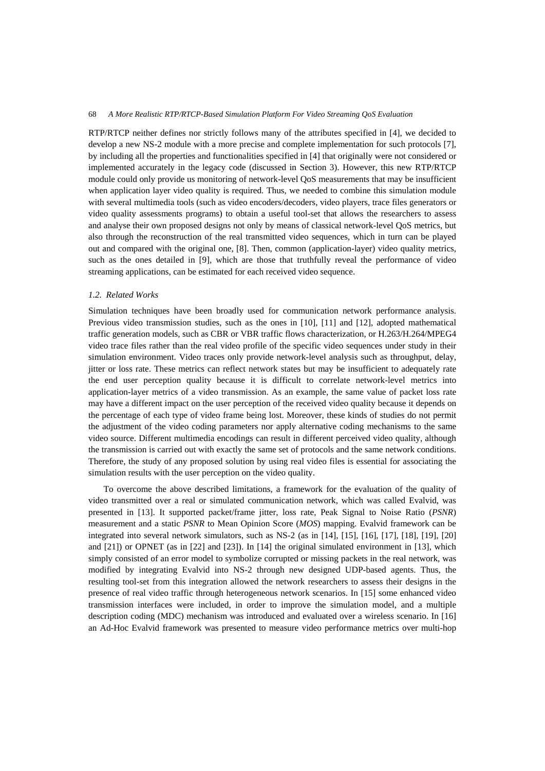RTP/RTCP neither defines nor strictly follows many of the attributes specified in [4], we decided to develop a new NS-2 module with a more precise and complete implementation for such protocols [7], by including all the properties and functionalities specified in [4] that originally were not considered or implemented accurately in the legacy code (discussed in Section 3). However, this new RTP/RTCP module could only provide us monitoring of network-level QoS measurements that may be insufficient when application layer video quality is required. Thus, we needed to combine this simulation module with several multimedia tools (such as video encoders/decoders, video players, trace files generators or video quality assessments programs) to obtain a useful tool-set that allows the researchers to assess and analyse their own proposed designs not only by means of classical network-level QoS metrics, but also through the reconstruction of the real transmitted video sequences, which in turn can be played out and compared with the original one, [8]. Then, common (application-layer) video quality metrics, such as the ones detailed in [9], which are those that truthfully reveal the performance of video streaming applications, can be estimated for each received video sequence.

## *1.2. Related Works*

Simulation techniques have been broadly used for communication network performance analysis. Previous video transmission studies, such as the ones in [10], [11] and [12], adopted mathematical traffic generation models, such as CBR or VBR traffic flows characterization, or H.263/H.264/MPEG4 video trace files rather than the real video profile of the specific video sequences under study in their simulation environment. Video traces only provide network-level analysis such as throughput, delay, jitter or loss rate. These metrics can reflect network states but may be insufficient to adequately rate the end user perception quality because it is difficult to correlate network-level metrics into application-layer metrics of a video transmission. As an example, the same value of packet loss rate may have a different impact on the user perception of the received video quality because it depends on the percentage of each type of video frame being lost. Moreover, these kinds of studies do not permit the adjustment of the video coding parameters nor apply alternative coding mechanisms to the same video source. Different multimedia encodings can result in different perceived video quality, although the transmission is carried out with exactly the same set of protocols and the same network conditions. Therefore, the study of any proposed solution by using real video files is essential for associating the simulation results with the user perception on the video quality.

To overcome the above described limitations, a framework for the evaluation of the quality of video transmitted over a real or simulated communication network, which was called Evalvid, was presented in [13]. It supported packet/frame jitter, loss rate, Peak Signal to Noise Ratio (*PSNR*) measurement and a static *PSNR* to Mean Opinion Score (*MOS*) mapping. Evalvid framework can be integrated into several network simulators, such as NS-2 (as in [14], [15], [16], [17], [18], [19], [20] and [21]) or OPNET (as in [22] and [23]). In [14] the original simulated environment in [13], which simply consisted of an error model to symbolize corrupted or missing packets in the real network, was modified by integrating Evalvid into NS-2 through new designed UDP-based agents. Thus, the resulting tool-set from this integration allowed the network researchers to assess their designs in the presence of real video traffic through heterogeneous network scenarios. In [15] some enhanced video transmission interfaces were included, in order to improve the simulation model, and a multiple description coding (MDC) mechanism was introduced and evaluated over a wireless scenario. In [16] an Ad-Hoc Evalvid framework was presented to measure video performance metrics over multi-hop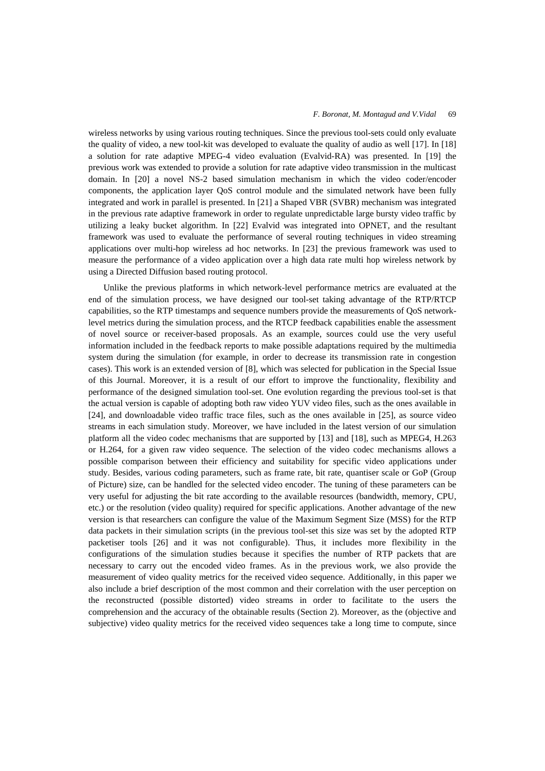wireless networks by using various routing techniques. Since the previous tool-sets could only evaluate the quality of video, a new tool-kit was developed to evaluate the quality of audio as well [17]. In [18] a solution for rate adaptive MPEG-4 video evaluation (Evalvid-RA) was presented. In [19] the previous work was extended to provide a solution for rate adaptive video transmission in the multicast domain. In [20] a novel NS-2 based simulation mechanism in which the video coder/encoder components, the application layer QoS control module and the simulated network have been fully integrated and work in parallel is presented. In [21] a Shaped VBR (SVBR) mechanism was integrated in the previous rate adaptive framework in order to regulate unpredictable large bursty video traffic by utilizing a leaky bucket algorithm. In [22] Evalvid was integrated into OPNET, and the resultant framework was used to evaluate the performance of several routing techniques in video streaming applications over multi-hop wireless ad hoc networks. In [23] the previous framework was used to measure the performance of a video application over a high data rate multi hop wireless network by using a Directed Diffusion based routing protocol.

Unlike the previous platforms in which network-level performance metrics are evaluated at the end of the simulation process, we have designed our tool-set taking advantage of the RTP/RTCP capabilities, so the RTP timestamps and sequence numbers provide the measurements of QoS networklevel metrics during the simulation process, and the RTCP feedback capabilities enable the assessment of novel source or receiver-based proposals. As an example, sources could use the very useful information included in the feedback reports to make possible adaptations required by the multimedia system during the simulation (for example, in order to decrease its transmission rate in congestion cases). This work is an extended version of [8], which was selected for publication in the Special Issue of this Journal. Moreover, it is a result of our effort to improve the functionality, flexibility and performance of the designed simulation tool-set. One evolution regarding the previous tool-set is that the actual version is capable of adopting both raw video YUV video files, such as the ones available in [24], and downloadable video traffic trace files, such as the ones available in [25], as source video streams in each simulation study. Moreover, we have included in the latest version of our simulation platform all the video codec mechanisms that are supported by [13] and [18], such as MPEG4, H.263 or H.264, for a given raw video sequence. The selection of the video codec mechanisms allows a possible comparison between their efficiency and suitability for specific video applications under study. Besides, various coding parameters, such as frame rate, bit rate, quantiser scale or GoP (Group of Picture) size, can be handled for the selected video encoder. The tuning of these parameters can be very useful for adjusting the bit rate according to the available resources (bandwidth, memory, CPU, etc.) or the resolution (video quality) required for specific applications. Another advantage of the new version is that researchers can configure the value of the Maximum Segment Size (MSS) for the RTP data packets in their simulation scripts (in the previous tool-set this size was set by the adopted RTP packetiser tools [26] and it was not configurable). Thus, it includes more flexibility in the configurations of the simulation studies because it specifies the number of RTP packets that are necessary to carry out the encoded video frames. As in the previous work, we also provide the measurement of video quality metrics for the received video sequence. Additionally, in this paper we also include a brief description of the most common and their correlation with the user perception on the reconstructed (possible distorted) video streams in order to facilitate to the users the comprehension and the accuracy of the obtainable results (Section 2). Moreover, as the (objective and subjective) video quality metrics for the received video sequences take a long time to compute, since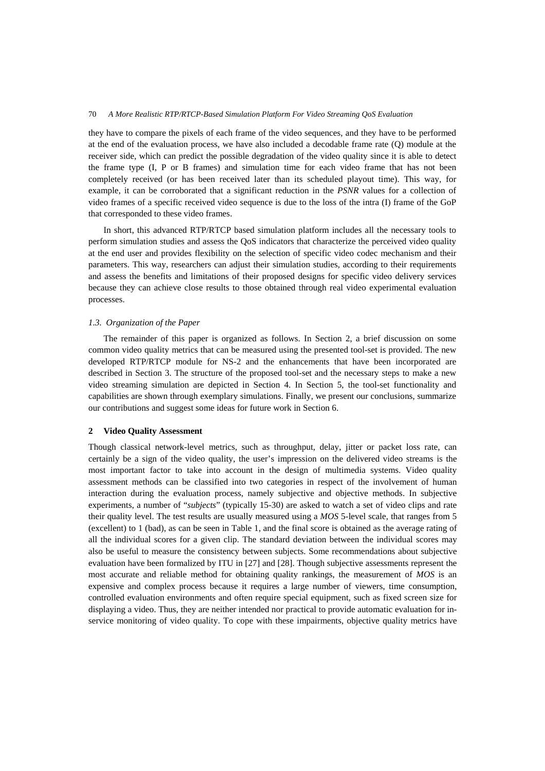they have to compare the pixels of each frame of the video sequences, and they have to be performed at the end of the evaluation process, we have also included a decodable frame rate (Q) module at the receiver side, which can predict the possible degradation of the video quality since it is able to detect the frame type (I, P or B frames) and simulation time for each video frame that has not been completely received (or has been received later than its scheduled playout time). This way, for example, it can be corroborated that a significant reduction in the *PSNR* values for a collection of video frames of a specific received video sequence is due to the loss of the intra (I) frame of the GoP that corresponded to these video frames.

In short, this advanced RTP/RTCP based simulation platform includes all the necessary tools to perform simulation studies and assess the QoS indicators that characterize the perceived video quality at the end user and provides flexibility on the selection of specific video codec mechanism and their parameters. This way, researchers can adjust their simulation studies, according to their requirements and assess the benefits and limitations of their proposed designs for specific video delivery services because they can achieve close results to those obtained through real video experimental evaluation processes.

#### *1.3. Organization of the Paper*

The remainder of this paper is organized as follows. In Section 2, a brief discussion on some common video quality metrics that can be measured using the presented tool-set is provided. The new developed RTP/RTCP module for NS-2 and the enhancements that have been incorporated are described in Section 3. The structure of the proposed tool-set and the necessary steps to make a new video streaming simulation are depicted in Section 4. In Section 5, the tool-set functionality and capabilities are shown through exemplary simulations. Finally, we present our conclusions, summarize our contributions and suggest some ideas for future work in Section 6.

#### **2 Video Quality Assessment**

Though classical network-level metrics, such as throughput, delay, jitter or packet loss rate, can certainly be a sign of the video quality, the user's impression on the delivered video streams is the most important factor to take into account in the design of multimedia systems. Video quality assessment methods can be classified into two categories in respect of the involvement of human interaction during the evaluation process, namely subjective and objective methods. In subjective experiments, a number of "*subjects*" (typically 15-30) are asked to watch a set of video clips and rate their quality level. The test results are usually measured using a *MOS* 5-level scale, that ranges from 5 (excellent) to 1 (bad), as can be seen in Table 1, and the final score is obtained as the average rating of all the individual scores for a given clip. The standard deviation between the individual scores may also be useful to measure the consistency between subjects. Some recommendations about subjective evaluation have been formalized by ITU in [27] and [28]. Though subjective assessments represent the most accurate and reliable method for obtaining quality rankings, the measurement of *MOS* is an expensive and complex process because it requires a large number of viewers, time consumption, controlled evaluation environments and often require special equipment, such as fixed screen size for displaying a video. Thus, they are neither intended nor practical to provide automatic evaluation for inservice monitoring of video quality. To cope with these impairments, objective quality metrics have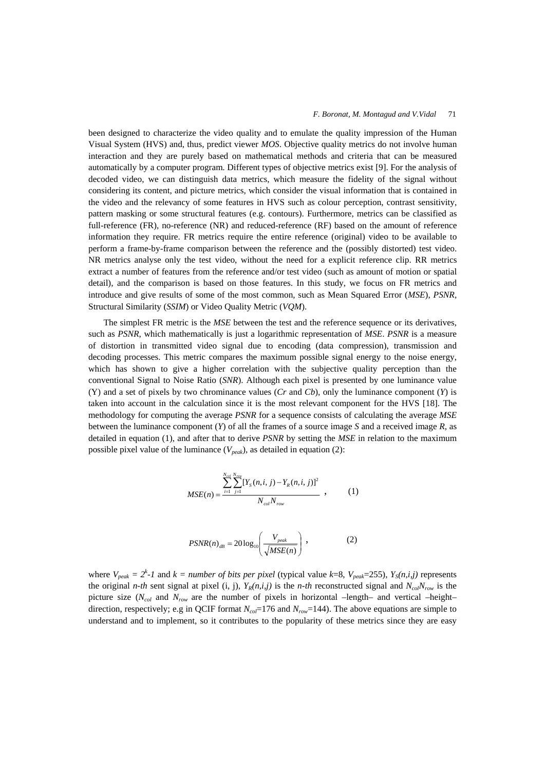been designed to characterize the video quality and to emulate the quality impression of the Human Visual System (HVS) and, thus, predict viewer *MOS*. Objective quality metrics do not involve human interaction and they are purely based on mathematical methods and criteria that can be measured automatically by a computer program. Different types of objective metrics exist [9]. For the analysis of decoded video, we can distinguish data metrics, which measure the fidelity of the signal without considering its content, and picture metrics, which consider the visual information that is contained in the video and the relevancy of some features in HVS such as colour perception, contrast sensitivity, pattern masking or some structural features (e.g. contours). Furthermore, metrics can be classified as full-reference (FR), no-reference (NR) and reduced-reference (RF) based on the amount of reference information they require. FR metrics require the entire reference (original) video to be available to perform a frame-by-frame comparison between the reference and the (possibly distorted) test video. NR metrics analyse only the test video, without the need for a explicit reference clip. RR metrics extract a number of features from the reference and/or test video (such as amount of motion or spatial detail), and the comparison is based on those features. In this study, we focus on FR metrics and introduce and give results of some of the most common, such as Mean Squared Error (*MSE*), *PSNR*, Structural Similarity (*SSIM*) or Video Quality Metric (*VQM*).

The simplest FR metric is the *MSE* between the test and the reference sequence or its derivatives, such as *PSNR*, which mathematically is just a logarithmic representation of *MSE*. *PSNR* is a measure of distortion in transmitted video signal due to encoding (data compression), transmission and decoding processes. This metric compares the maximum possible signal energy to the noise energy, which has shown to give a higher correlation with the subjective quality perception than the conventional Signal to Noise Ratio (*SNR*). Although each pixel is presented by one luminance value (Y) and a set of pixels by two chrominance values (*Cr* and *Cb*), only the luminance component (*Y*) is taken into account in the calculation since it is the most relevant component for the HVS [18]. The methodology for computing the average *PSNR* for a sequence consists of calculating the average *MSE* between the luminance component (*Y*) of all the frames of a source image *S* and a received image *R*, as detailed in equation (1), and after that to derive *PSNR* by setting the *MSE* in relation to the maximum possible pixel value of the luminance  $(V_{peak})$ , as detailed in equation (2):

$$
MSE(n) = \frac{\sum_{i=1}^{N_{row}} \sum_{j=1}^{N_{row}} [Y_{S}(n,i,j) - Y_{R}(n,i,j)]^{2}}{N_{col} N_{row}} , \qquad (1)
$$

$$
PSNR(n)_{dB} = 20\log_{10}\left(\frac{V_{peak}}{\sqrt{MSE(n)}}\right),\tag{2}
$$

where  $V_{peak} = 2^k - 1$  and  $k = number of bits per pixel$  (typical value  $k=8$ ,  $V_{peak}=255$ ),  $Y_s(n,i,j)$  represents the original *n-th* sent signal at pixel (i, j),  $Y_R(n,i,j)$  is the *n-th* reconstructed signal and  $N_{col}N_{row}$  is the picture size ( $N_{col}$  and  $N_{row}$  are the number of pixels in horizontal –length– and vertical –height– direction, respectively; e.g in QCIF format  $N_{col}$ =176 and  $N_{row}$ =144). The above equations are simple to understand and to implement, so it contributes to the popularity of these metrics since they are easy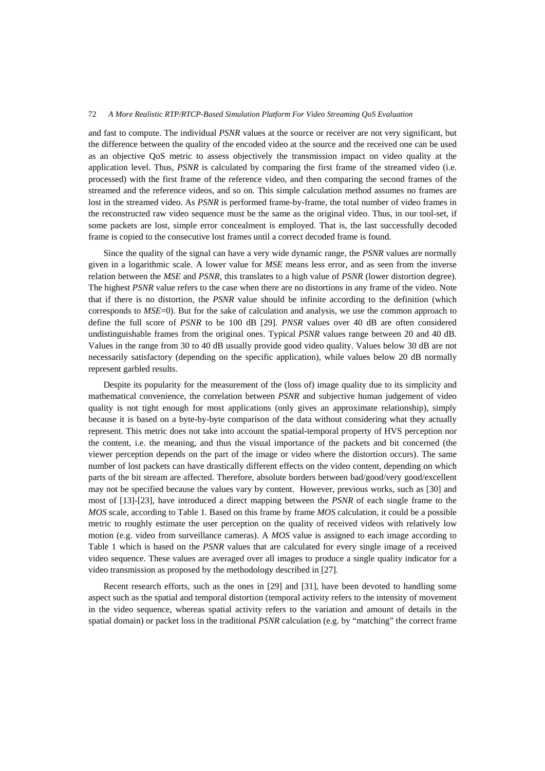and fast to compute. The individual *PSNR* values at the source or receiver are not very significant, but the difference between the quality of the encoded video at the source and the received one can be used as an objective QoS metric to assess objectively the transmission impact on video quality at the application level. Thus, *PSNR* is calculated by comparing the first frame of the streamed video (i.e. processed) with the first frame of the reference video, and then comparing the second frames of the streamed and the reference videos, and so on. This simple calculation method assumes no frames are lost in the streamed video. As *PSNR* is performed frame-by-frame, the total number of video frames in the reconstructed raw video sequence must be the same as the original video. Thus, in our tool-set, if some packets are lost, simple error concealment is employed. That is, the last successfully decoded frame is copied to the consecutive lost frames until a correct decoded frame is found.

Since the quality of the signal can have a very wide dynamic range, the *PSNR* values are normally given in a logarithmic scale. A lower value for *MSE* means less error, and as seen from the inverse relation between the *MSE* and *PSNR*, this translates to a high value of *PSNR* (lower distortion degree). The highest *PSNR* value refers to the case when there are no distortions in any frame of the video. Note that if there is no distortion, the *PSNR* value should be infinite according to the definition (which corresponds to *MSE*=0). But for the sake of calculation and analysis, we use the common approach to define the full score of *PSNR* to be 100 dB [29]. *PNSR* values over 40 dB are often considered undistinguishable frames from the original ones. Typical *PSNR* values range between 20 and 40 dB. Values in the range from 30 to 40 dB usually provide good video quality. Values below 30 dB are not necessarily satisfactory (depending on the specific application), while values below 20 dB normally represent garbled results.

Despite its popularity for the measurement of the (loss of) image quality due to its simplicity and mathematical convenience, the correlation between *PSNR* and subjective human judgement of video quality is not tight enough for most applications (only gives an approximate relationship), simply because it is based on a byte-by-byte comparison of the data without considering what they actually represent. This metric does not take into account the spatial-temporal property of HVS perception nor the content, i.e. the meaning, and thus the visual importance of the packets and bit concerned (the viewer perception depends on the part of the image or video where the distortion occurs). The same number of lost packets can have drastically different effects on the video content, depending on which parts of the bit stream are affected. Therefore, absolute borders between bad/good/very good/excellent may not be specified because the values vary by content. However, previous works, such as [30] and most of [13]-[23], have introduced a direct mapping between the *PSNR* of each single frame to the *MOS* scale, according to Table 1. Based on this frame by frame *MOS* calculation, it could be a possible metric to roughly estimate the user perception on the quality of received videos with relatively low motion (e.g. video from surveillance cameras). A *MOS* value is assigned to each image according to Table 1 which is based on the *PSNR* values that are calculated for every single image of a received video sequence. These values are averaged over all images to produce a single quality indicator for a video transmission as proposed by the methodology described in [27].

Recent research efforts, such as the ones in [29] and [31], have been devoted to handling some aspect such as the spatial and temporal distortion (temporal activity refers to the intensity of movement in the video sequence, whereas spatial activity refers to the variation and amount of details in the spatial domain) or packet loss in the traditional *PSNR* calculation (e.g. by "matching" the correct frame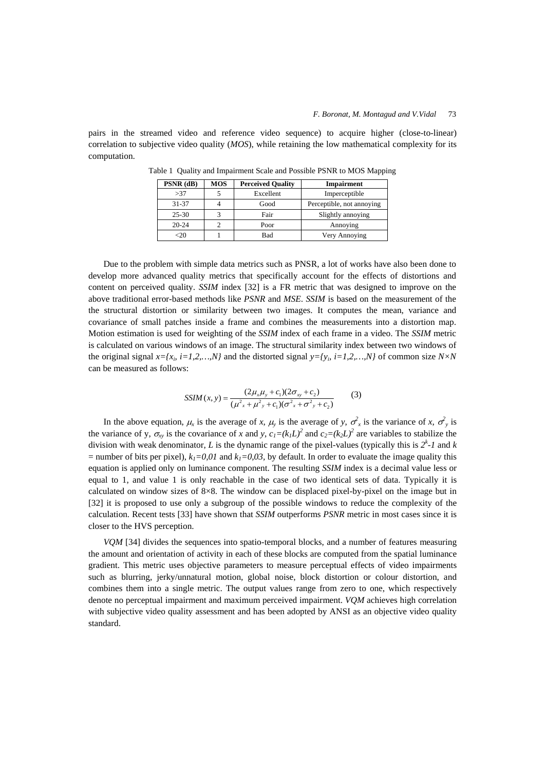pairs in the streamed video and reference video sequence) to acquire higher (close-to-linear) correlation to subjective video quality (*MOS*), while retaining the low mathematical complexity for its computation.

| $PSNR$ (dB) | MOS | <b>Perceived Quality</b> | <b>Impairment</b>         |
|-------------|-----|--------------------------|---------------------------|
| >37         |     | Excellent                | Imperceptible             |
| $31 - 37$   |     | Good                     | Perceptible, not annoying |
| $25 - 30$   |     | Fair                     | Slightly annoying         |
| $20 - 24$   |     | Poor                     | Annoving                  |
|             |     | Bad                      | Very Annoying             |

Table 1 Quality and Impairment Scale and Possible PSNR to MOS Mapping

Due to the problem with simple data metrics such as PNSR, a lot of works have also been done to develop more advanced quality metrics that specifically account for the effects of distortions and content on perceived quality. *SSIM* index [32] is a FR metric that was designed to improve on the above traditional error-based methods like *PSNR* and *MSE*. *SSIM* is based on the measurement of the the structural distortion or similarity between two images. It computes the mean, variance and covariance of small patches inside a frame and combines the measurements into a distortion map. Motion estimation is used for weighting of the *SSIM* index of each frame in a video. The *SSIM* metric is calculated on various windows of an image. The structural similarity index between two windows of the original signal  $x=[x_i, i=1,2,...,N]$  and the distorted signal  $y=[y_i, i=1,2,...,N]$  of common size  $N\times N$ can be measured as follows:

$$
SSIM(x, y) = \frac{(2\mu_x \mu_y + c_1)(2\sigma_{xy} + c_2)}{(\mu^2_x + \mu^2_y + c_1)(\sigma^2_x + \sigma^2_y + c_2)}
$$
(3)

In the above equation,  $\mu_x$  is the average of *x*,  $\mu_y$  is the average of *y*,  $\sigma_x^2$  is the variance of *x*,  $\sigma_y^2$  is the variance of y,  $\sigma_{xy}$  is the covariance of *x* and *y*,  $c_1=(k_1L)^2$  and  $c_2=(k_2L)^2$  are variables to stabilize the division with weak denominator, *L* is the dynamic range of the pixel-values (typically this is  $2^k$ -1 and *k* = number of bits per pixel),  $k_1=0.01$  and  $k_1=0.03$ , by default. In order to evaluate the image quality this equation is applied only on luminance component. The resulting *SSIM* index is a decimal value less or equal to 1, and value 1 is only reachable in the case of two identical sets of data. Typically it is calculated on window sizes of 8×8. The window can be displaced pixel-by-pixel on the image but in [32] it is proposed to use only a subgroup of the possible windows to reduce the complexity of the calculation. Recent tests [33] have shown that *SSIM* outperforms *PSNR* metric in most cases since it is closer to the HVS perception.

*VQM* [34] divides the sequences into spatio-temporal blocks, and a number of features measuring the amount and orientation of activity in each of these blocks are computed from the spatial luminance gradient. This metric uses objective parameters to measure perceptual effects of video impairments such as blurring, jerky/unnatural motion, global noise, block distortion or colour distortion, and combines them into a single metric. The output values range from zero to one, which respectively denote no perceptual impairment and maximum perceived impairment. *VQM* achieves high correlation with subjective video quality assessment and has been adopted by ANSI as an objective video quality standard.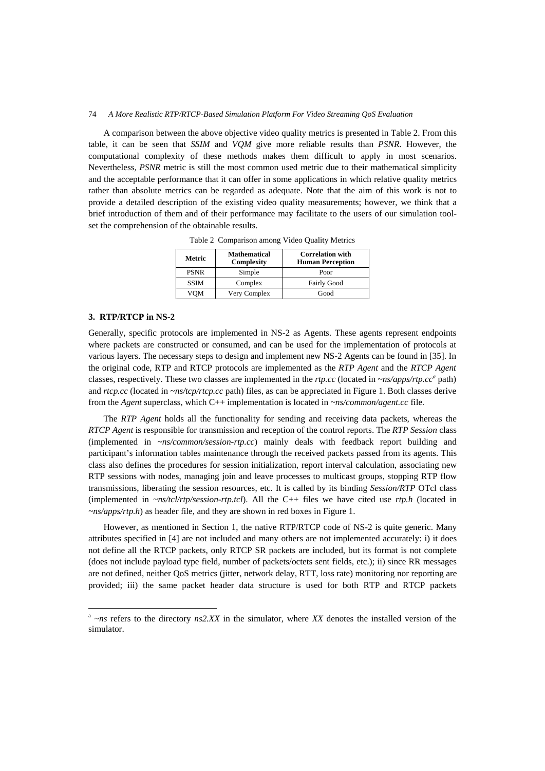A comparison between the above objective video quality metrics is presented in Table 2. From this table, it can be seen that *SSIM* and *VQM* give more reliable results than *PSNR*. However, the computational complexity of these methods makes them difficult to apply in most scenarios. Nevertheless, *PSNR* metric is still the most common used metric due to their mathematical simplicity and the acceptable performance that it can offer in some applications in which relative quality metrics rather than absolute metrics can be regarded as adequate. Note that the aim of this work is not to provide a detailed description of the existing video quality measurements; however, we think that a brief introduction of them and of their performance may facilitate to the users of our simulation toolset the comprehension of the obtainable results.

| Metric      | <b>Mathematical</b><br>Complexity | <b>Correlation with</b><br><b>Human Perception</b> |
|-------------|-----------------------------------|----------------------------------------------------|
| <b>PSNR</b> | Simple                            | Poor                                               |
| <b>SSIM</b> | Complex                           | <b>Fairly Good</b>                                 |
| VOM         | Very Complex                      | Good                                               |

Table 2 Comparison among Video Quality Metrics

# **3. RTP/RTCP in NS-2**

-

Generally, specific protocols are implemented in NS-2 as Agents. These agents represent endpoints where packets are constructed or consumed, and can be used for the implementation of protocols at various layers. The necessary steps to design and implement new NS-2 Agents can be found in [35]. In the original code, RTP and RTCP protocols are implemented as the *RTP Agent* and the *RTCP Agent* classes, respectively. These two classes are implemented in the *rtp.cc* (located in *~ns/apps/rtp.cc<sup>a</sup>* path) and *rtcp.cc* (located in *~ns/tcp/rtcp.cc* path) files, as can be appreciated in Figure 1. Both classes derive from the *Agent* superclass, which C++ implementation is located in *~ns/common/agent.cc* file*.*

The *RTP Agent* holds all the functionality for sending and receiving data packets, whereas the *RTCP Agent* is responsible for transmission and reception of the control reports. The *RTP Session* class (implemented in *~ns/common/session-rtp.cc*) mainly deals with feedback report building and participant's information tables maintenance through the received packets passed from its agents. This class also defines the procedures for session initialization, report interval calculation, associating new RTP sessions with nodes, managing join and leave processes to multicast groups, stopping RTP flow transmissions, liberating the session resources, etc. It is called by its binding *Session/RTP* OTcl class (implemented in *~ns/tcl/rtp/session-rtp.tcl*). All the C++ files we have cited use *rtp.h* (located in *~ns/apps/rtp.h*) as header file*,* and they are shown in red boxes in Figure 1.

However, as mentioned in Section 1, the native RTP/RTCP code of NS-2 is quite generic. Many attributes specified in [4] are not included and many others are not implemented accurately: i) it does not define all the RTCP packets, only RTCP SR packets are included, but its format is not complete (does not include payload type field, number of packets/octets sent fields, etc.); ii) since RR messages are not defined, neither QoS metrics (jitter, network delay, RTT, loss rate) monitoring nor reporting are provided; iii) the same packet header data structure is used for both RTP and RTCP packets

 $a \rightarrow$ *ns* refers to the directory *ns2.XX* in the simulator, where *XX* denotes the installed version of the simulator.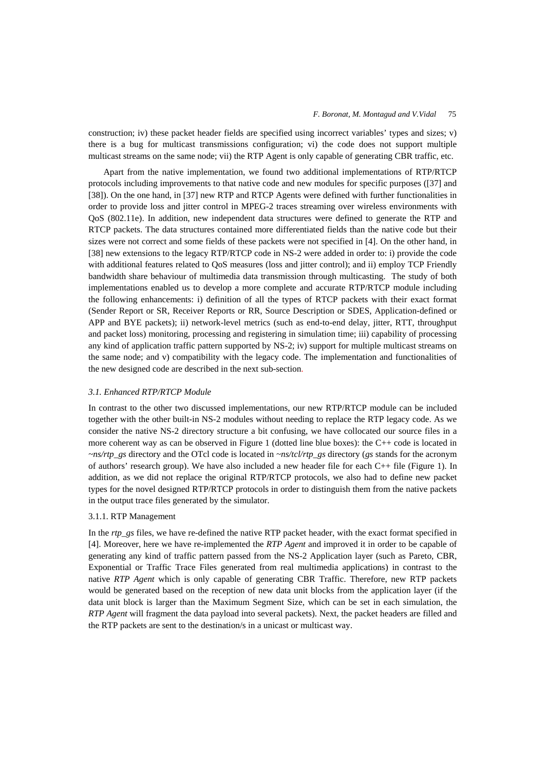## *F. Boronat, M. Montagud and V.Vidal* 75

construction; iv) these packet header fields are specified using incorrect variables' types and sizes; v) there is a bug for multicast transmissions configuration; vi) the code does not support multiple multicast streams on the same node; vii) the RTP Agent is only capable of generating CBR traffic, etc.

Apart from the native implementation, we found two additional implementations of RTP/RTCP protocols including improvements to that native code and new modules for specific purposes ([37] and [38]). On the one hand, in [37] new RTP and RTCP Agents were defined with further functionalities in order to provide loss and jitter control in MPEG-2 traces streaming over wireless environments with QoS (802.11e). In addition, new independent data structures were defined to generate the RTP and RTCP packets. The data structures contained more differentiated fields than the native code but their sizes were not correct and some fields of these packets were not specified in [4]. On the other hand, in [38] new extensions to the legacy RTP/RTCP code in NS-2 were added in order to: i) provide the code with additional features related to QoS measures (loss and jitter control); and ii) employ TCP Friendly bandwidth share behaviour of multimedia data transmission through multicasting. The study of both implementations enabled us to develop a more complete and accurate RTP/RTCP module including the following enhancements: i) definition of all the types of RTCP packets with their exact format (Sender Report or SR, Receiver Reports or RR, Source Description or SDES, Application-defined or APP and BYE packets); ii) network-level metrics (such as end-to-end delay, jitter, RTT, throughput and packet loss) monitoring, processing and registering in simulation time; iii) capability of processing any kind of application traffic pattern supported by NS-2; iv) support for multiple multicast streams on the same node; and v) compatibility with the legacy code. The implementation and functionalities of the new designed code are described in the next sub-section.

## *3.1. Enhanced RTP/RTCP Module*

In contrast to the other two discussed implementations, our new RTP/RTCP module can be included together with the other built-in NS-2 modules without needing to replace the RTP legacy code. As we consider the native NS-2 directory structure a bit confusing, we have collocated our source files in a more coherent way as can be observed in Figure 1 (dotted line blue boxes): the C++ code is located in *~ns/rtp\_gs* directory and the OTcl code is located in *~ns/tcl/rtp\_gs* directory (*gs* stands for the acronym of authors' research group). We have also included a new header file for each C++ file (Figure 1). In addition, as we did not replace the original RTP/RTCP protocols, we also had to define new packet types for the novel designed RTP/RTCP protocols in order to distinguish them from the native packets in the output trace files generated by the simulator.

# 3.1.1. RTP Management

In the *rtp\_gs* files, we have re-defined the native RTP packet header, with the exact format specified in [4]. Moreover, here we have re-implemented the *RTP Agent* and improved it in order to be capable of generating any kind of traffic pattern passed from the NS-2 Application layer (such as Pareto, CBR, Exponential or Traffic Trace Files generated from real multimedia applications) in contrast to the native *RTP Agent* which is only capable of generating CBR Traffic. Therefore, new RTP packets would be generated based on the reception of new data unit blocks from the application layer (if the data unit block is larger than the Maximum Segment Size, which can be set in each simulation, the *RTP Agent* will fragment the data payload into several packets). Next, the packet headers are filled and the RTP packets are sent to the destination/s in a unicast or multicast way.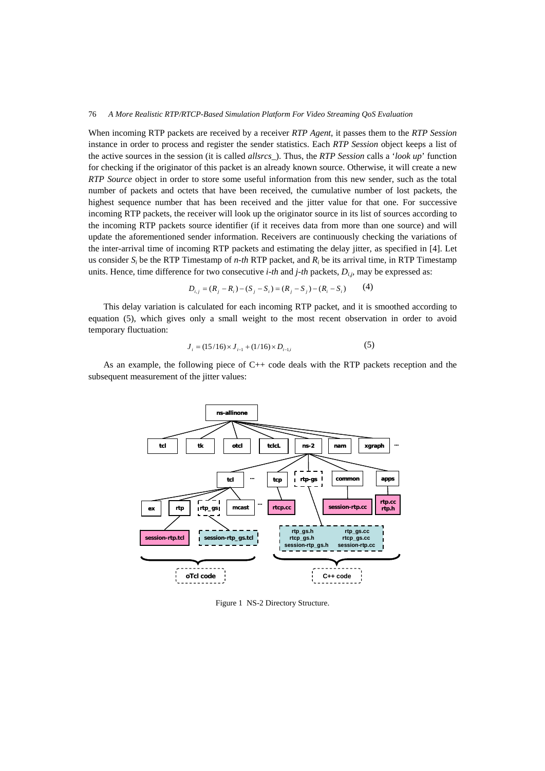When incoming RTP packets are received by a receiver *RTP Agent*, it passes them to the *RTP Session* instance in order to process and register the sender statistics. Each *RTP Session* object keeps a list of the active sources in the session (it is called *allsrcs*\_). Thus, the *RTP Session* calls a '*look up*' function for checking if the originator of this packet is an already known source. Otherwise, it will create a new *RTP Source* object in order to store some useful information from this new sender, such as the total number of packets and octets that have been received, the cumulative number of lost packets, the highest sequence number that has been received and the jitter value for that one. For successive incoming RTP packets, the receiver will look up the originator source in its list of sources according to the incoming RTP packets source identifier (if it receives data from more than one source) and will update the aforementioned sender information. Receivers are continuously checking the variations of the inter-arrival time of incoming RTP packets and estimating the delay jitter, as specified in [4]. Let us consider *Si* be the RTP Timestamp of *n-th* RTP packet, and *Ri* be its arrival time, in RTP Timestamp units. Hence, time difference for two consecutive *i-th* and *j-th* packets, *Di,j,* may be expressed as:

$$
D_{i,j} = (R_j - R_i) - (S_j - S_i) = (R_j - S_j) - (R_i - S_i)
$$
 (4)

This delay variation is calculated for each incoming RTP packet, and it is smoothed according to equation (5), which gives only a small weight to the most recent observation in order to avoid temporary fluctuation:

$$
J_i = (15/16) \times J_{i-1} + (1/16) \times D_{i-1,i}
$$
 (5)

As an example, the following piece of C++ code deals with the RTP packets reception and the subsequent measurement of the jitter values:



Figure 1 NS-2 Directory Structure.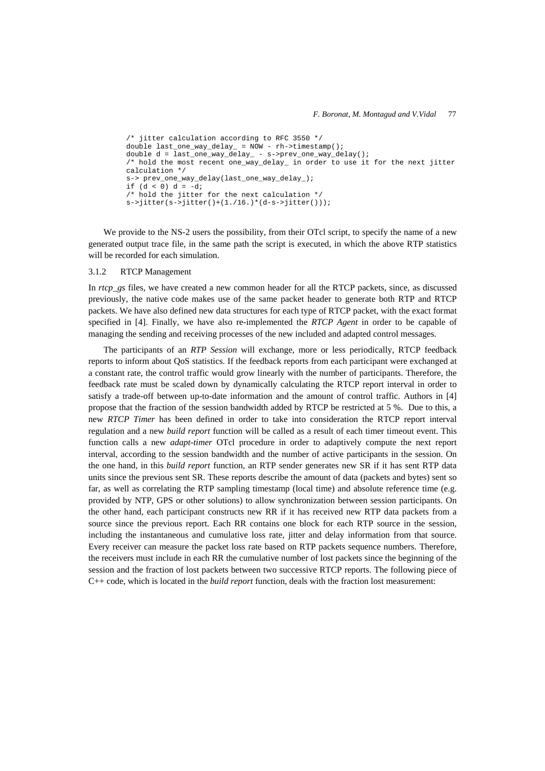```
/* jitter calculation according to RFC 3550 */ 
double last_one_way_delay_ = NOW - rh->timestamp(); 
double d = last_one_way_delay_ - s->prev_one_way_delay(); 
/* hold the most recent one_way_delay_ in order to use it for the next jitter 
calculation */ 
s-> prev_one_way_delay(last_one_way_delay_); 
if (d < 0) d = -di/* hold the jitter for the next calculation */ 
s->jitter(s->jitter()+(1./16.)*(d-s->jitter()));
```
We provide to the NS-2 users the possibility, from their OTcl script, to specify the name of a new generated output trace file, in the same path the script is executed, in which the above RTP statistics will be recorded for each simulation.

#### 3.1.2 RTCP Management

In *rtcp* gs files, we have created a new common header for all the RTCP packets, since, as discussed previously, the native code makes use of the same packet header to generate both RTP and RTCP packets. We have also defined new data structures for each type of RTCP packet, with the exact format specified in [4]. Finally, we have also re-implemented the *RTCP Agent* in order to be capable of managing the sending and receiving processes of the new included and adapted control messages.

The participants of an *RTP Session* will exchange, more or less periodically, RTCP feedback reports to inform about QoS statistics. If the feedback reports from each participant were exchanged at a constant rate, the control traffic would grow linearly with the number of participants. Therefore, the feedback rate must be scaled down by dynamically calculating the RTCP report interval in order to satisfy a trade-off between up-to-date information and the amount of control traffic. Authors in [4] propose that the fraction of the session bandwidth added by RTCP be restricted at 5 %. Due to this, a new *RTCP Timer* has been defined in order to take into consideration the RTCP report interval regulation and a new *build report* function will be called as a result of each timer timeout event. This function calls a new *adapt-timer* OTcl procedure in order to adaptively compute the next report interval, according to the session bandwidth and the number of active participants in the session. On the one hand, in this *build report* function, an RTP sender generates new SR if it has sent RTP data units since the previous sent SR. These reports describe the amount of data (packets and bytes) sent so far, as well as correlating the RTP sampling timestamp (local time) and absolute reference time (e.g. provided by NTP, GPS or other solutions) to allow synchronization between session participants. On the other hand, each participant constructs new RR if it has received new RTP data packets from a source since the previous report. Each RR contains one block for each RTP source in the session, including the instantaneous and cumulative loss rate, jitter and delay information from that source. Every receiver can measure the packet loss rate based on RTP packets sequence numbers. Therefore, the receivers must include in each RR the cumulative number of lost packets since the beginning of the session and the fraction of lost packets between two successive RTCP reports. The following piece of C++ code, which is located in the *build report* function, deals with the fraction lost measurement: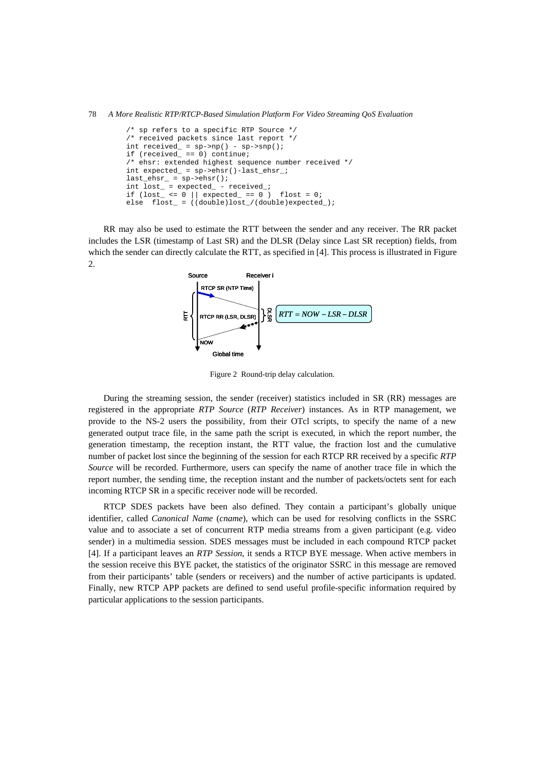78 *A More Realistic RTP/RTCP-Based Simulation Platform For Video Streaming QoS Evaluation*

```
/* sp refers to a specific RTP Source */ 
/* received packets since last report */ 
int received_ = sp->np() - sp->snp();
if (received_ == 0) continue; 
/* ehsr: extended highest sequence number received */int expected_ = sp->ehsr()-last_ehsr_; 
\mathtt{last\_ehsr\_ = sp \verb|~>ehsr();}int lost_ = expected_ - received_; 
if (\text{lost}\_\leq 0 \mid \text{expected}\_\equiv 0 \text{)} flost = 0;
else flost_ = ((double)lost_/(double)expected_);
```
RR may also be used to estimate the RTT between the sender and any receiver. The RR packet includes the LSR (timestamp of Last SR) and the DLSR (Delay since Last SR reception) fields, from which the sender can directly calculate the RTT, as specified in [4]. This process is illustrated in Figure 2.



Figure 2 Round-trip delay calculation.

During the streaming session, the sender (receiver) statistics included in SR (RR) messages are registered in the appropriate *RTP Source* (*RTP Receiver*) instances. As in RTP management, we provide to the NS-2 users the possibility, from their OTcl scripts, to specify the name of a new generated output trace file, in the same path the script is executed, in which the report number, the generation timestamp, the reception instant, the RTT value, the fraction lost and the cumulative number of packet lost since the beginning of the session for each RTCP RR received by a specific *RTP Source* will be recorded. Furthermore, users can specify the name of another trace file in which the report number, the sending time, the reception instant and the number of packets/octets sent for each incoming RTCP SR in a specific receiver node will be recorded.

RTCP SDES packets have been also defined. They contain a participant's globally unique identifier, called *Canonical Name* (*cname*), which can be used for resolving conflicts in the SSRC value and to associate a set of concurrent RTP media streams from a given participant (e.g. video sender) in a multimedia session. SDES messages must be included in each compound RTCP packet [4]. If a participant leaves an *RTP Session*, it sends a RTCP BYE message. When active members in the session receive this BYE packet, the statistics of the originator SSRC in this message are removed from their participants' table (senders or receivers) and the number of active participants is updated. Finally, new RTCP APP packets are defined to send useful profile-specific information required by particular applications to the session participants.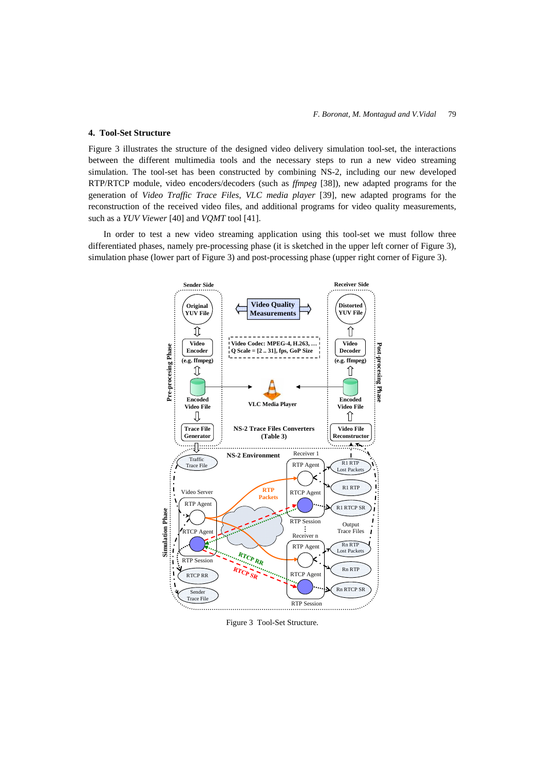#### **4. Tool-Set Structure**

Figure 3 illustrates the structure of the designed video delivery simulation tool-set, the interactions between the different multimedia tools and the necessary steps to run a new video streaming simulation. The tool-set has been constructed by combining NS-2, including our new developed RTP/RTCP module, video encoders/decoders (such as *ffmpeg* [38]), new adapted programs for the generation of *Video Traffic Trace Files*, *VLC media player* [39], new adapted programs for the reconstruction of the received video files, and additional programs for video quality measurements, such as a *YUV Viewer* [40] and *VQMT* tool [41].

In order to test a new video streaming application using this tool-set we must follow three differentiated phases, namely pre-processing phase (it is sketched in the upper left corner of Figure 3), simulation phase (lower part of Figure 3) and post-processing phase (upper right corner of Figure 3).



Figure 3 Tool-Set Structure.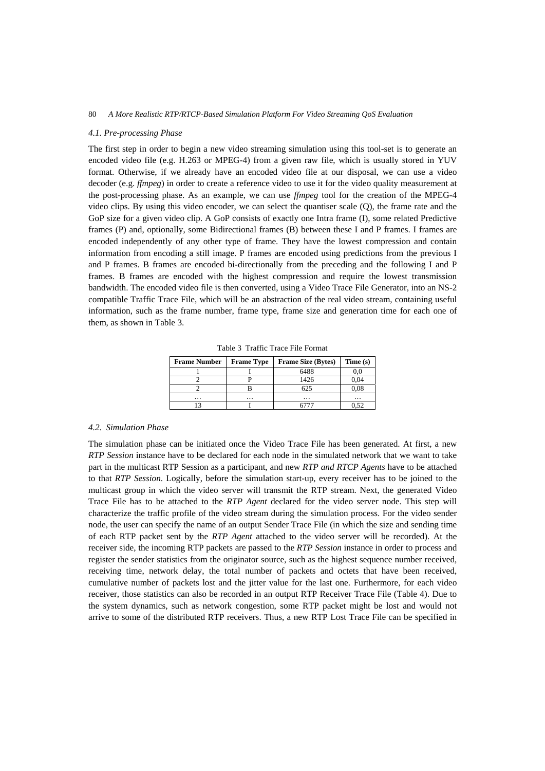#### *4.1. Pre-processing Phase*

The first step in order to begin a new video streaming simulation using this tool-set is to generate an encoded video file (e.g. H.263 or MPEG-4) from a given raw file, which is usually stored in YUV format. Otherwise, if we already have an encoded video file at our disposal, we can use a video decoder (e.g. *ffmpeg*) in order to create a reference video to use it for the video quality measurement at the post-processing phase. As an example, we can use *ffmpeg* tool for the creation of the MPEG-4 video clips. By using this video encoder, we can select the quantiser scale (Q), the frame rate and the GoP size for a given video clip. A GoP consists of exactly one Intra frame (I), some related Predictive frames (P) and, optionally, some Bidirectional frames (B) between these I and P frames. I frames are encoded independently of any other type of frame. They have the lowest compression and contain information from encoding a still image. P frames are encoded using predictions from the previous I and P frames. B frames are encoded bi-directionally from the preceding and the following I and P frames. B frames are encoded with the highest compression and require the lowest transmission bandwidth. The encoded video file is then converted, using a Video Trace File Generator, into an NS-2 compatible Traffic Trace File, which will be an abstraction of the real video stream, containing useful information, such as the frame number, frame type, frame size and generation time for each one of them, as shown in Table 3.

Table 3 Traffic Trace File Format

| <b>Frame Number</b> | <b>Frame Type</b> | <b>Frame Size (Bytes)</b> | Time (s) |
|---------------------|-------------------|---------------------------|----------|
|                     |                   | 6488                      |          |
|                     |                   | 1426                      | 0,04     |
|                     |                   | 625                       | 0,08     |
| $\cdots$            | $\cdots$          | $\cdots$                  | $\cdots$ |
|                     |                   |                           | 0.52     |

### *4.2. Simulation Phase*

The simulation phase can be initiated once the Video Trace File has been generated. At first, a new *RTP Session* instance have to be declared for each node in the simulated network that we want to take part in the multicast RTP Session as a participant, and new *RTP and RTCP Agents* have to be attached to that *RTP Session*. Logically, before the simulation start-up, every receiver has to be joined to the multicast group in which the video server will transmit the RTP stream. Next, the generated Video Trace File has to be attached to the *RTP Agent* declared for the video server node. This step will characterize the traffic profile of the video stream during the simulation process. For the video sender node, the user can specify the name of an output Sender Trace File (in which the size and sending time of each RTP packet sent by the *RTP Agent* attached to the video server will be recorded). At the receiver side, the incoming RTP packets are passed to the *RTP Session* instance in order to process and register the sender statistics from the originator source, such as the highest sequence number received, receiving time, network delay, the total number of packets and octets that have been received, cumulative number of packets lost and the jitter value for the last one. Furthermore, for each video receiver, those statistics can also be recorded in an output RTP Receiver Trace File (Table 4). Due to the system dynamics, such as network congestion, some RTP packet might be lost and would not arrive to some of the distributed RTP receivers. Thus, a new RTP Lost Trace File can be specified in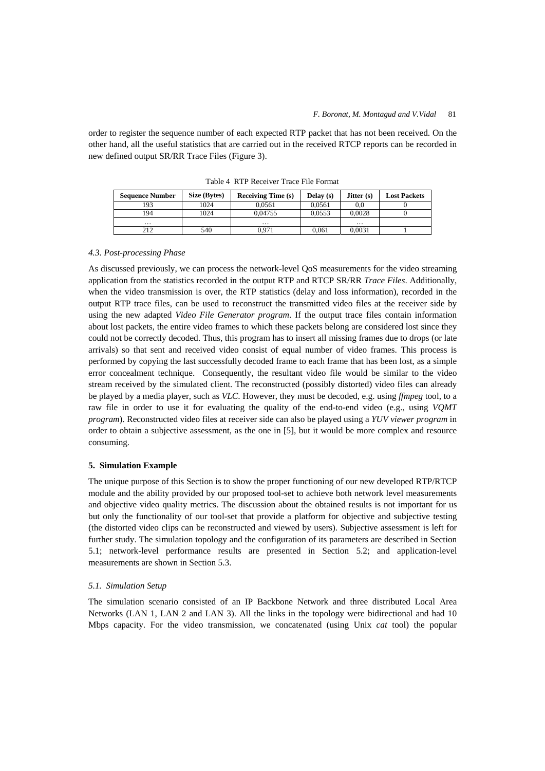order to register the sequence number of each expected RTP packet that has not been received. On the other hand, all the useful statistics that are carried out in the received RTCP reports can be recorded in new defined output SR/RR Trace Files (Figure 3).

| <b>Sequence Number</b> | Size (Bytes) | <b>Receiving Time (s)</b> | Delay $(s)$ | Jitter $(s)$ | <b>Lost Packets</b> |
|------------------------|--------------|---------------------------|-------------|--------------|---------------------|
| 193                    | 1024         | 0.0561                    | 0.0561      | 0.0          |                     |
| 194                    | 1024         | 0.04755                   | 0.0553      | 0.0028       |                     |
| $\cdots$               |              | $\cdots$                  |             | $\cdots$     |                     |
| 212                    | 540          | ).971                     | 0.061       | 0.0031       |                     |

Table 4 RTP Receiver Trace File Format

## *4.3. Post-processing Phase*

As discussed previously, we can process the network-level QoS measurements for the video streaming application from the statistics recorded in the output RTP and RTCP SR/RR *Trace Files*. Additionally, when the video transmission is over, the RTP statistics (delay and loss information), recorded in the output RTP trace files, can be used to reconstruct the transmitted video files at the receiver side by using the new adapted *Video File Generator program*. If the output trace files contain information about lost packets, the entire video frames to which these packets belong are considered lost since they could not be correctly decoded. Thus, this program has to insert all missing frames due to drops (or late arrivals) so that sent and received video consist of equal number of video frames. This process is performed by copying the last successfully decoded frame to each frame that has been lost, as a simple error concealment technique. Consequently, the resultant video file would be similar to the video stream received by the simulated client. The reconstructed (possibly distorted) video files can already be played by a media player, such as *VLC*. However, they must be decoded, e.g. using *ffmpeg* tool, to a raw file in order to use it for evaluating the quality of the end-to-end video (e.g., using *VQMT program*). Reconstructed video files at receiver side can also be played using a *YUV viewer program* in order to obtain a subjective assessment, as the one in [5], but it would be more complex and resource consuming.

## **5. Simulation Example**

The unique purpose of this Section is to show the proper functioning of our new developed RTP/RTCP module and the ability provided by our proposed tool-set to achieve both network level measurements and objective video quality metrics. The discussion about the obtained results is not important for us but only the functionality of our tool-set that provide a platform for objective and subjective testing (the distorted video clips can be reconstructed and viewed by users). Subjective assessment is left for further study. The simulation topology and the configuration of its parameters are described in Section 5.1; network-level performance results are presented in Section 5.2; and application-level measurements are shown in Section 5.3.

### *5.1. Simulation Setup*

The simulation scenario consisted of an IP Backbone Network and three distributed Local Area Networks (LAN 1, LAN 2 and LAN 3). All the links in the topology were bidirectional and had 10 Mbps capacity. For the video transmission, we concatenated (using Unix *cat* tool) the popular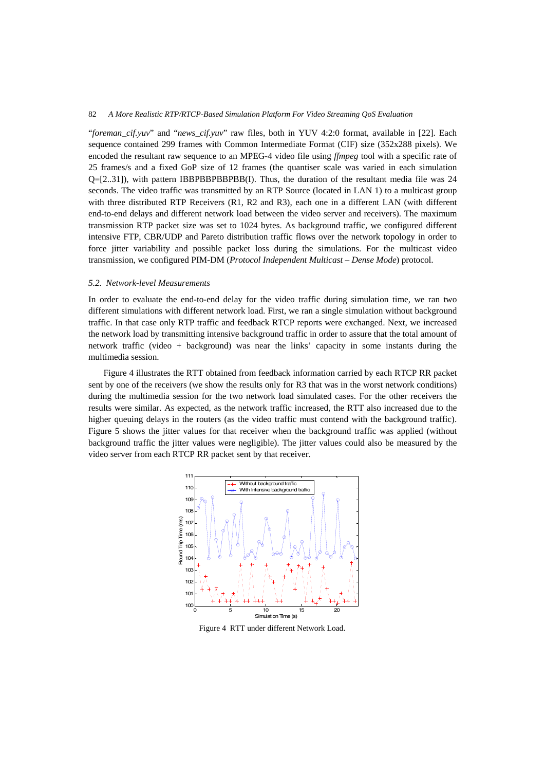"*foreman\_cif.yuv*" and "*news\_cif.yuv*" raw files, both in YUV 4:2:0 format, available in [22]. Each sequence contained 299 frames with Common Intermediate Format (CIF) size (352x288 pixels). We encoded the resultant raw sequence to an MPEG-4 video file using *ffmpeg* tool with a specific rate of 25 frames/s and a fixed GoP size of 12 frames (the quantiser scale was varied in each simulation Q=[2..31]), with pattern IBBPBBPBBPBB(I). Thus, the duration of the resultant media file was 24 seconds. The video traffic was transmitted by an RTP Source (located in LAN 1) to a multicast group with three distributed RTP Receivers (R1, R2 and R3), each one in a different LAN (with different end-to-end delays and different network load between the video server and receivers). The maximum transmission RTP packet size was set to 1024 bytes. As background traffic, we configured different intensive FTP, CBR/UDP and Pareto distribution traffic flows over the network topology in order to force jitter variability and possible packet loss during the simulations. For the multicast video transmission, we configured PIM-DM (*Protocol Independent Multicast – Dense Mode*) protocol.

## *5.2. Network-level Measurements*

In order to evaluate the end-to-end delay for the video traffic during simulation time, we ran two different simulations with different network load. First, we ran a single simulation without background traffic. In that case only RTP traffic and feedback RTCP reports were exchanged. Next, we increased the network load by transmitting intensive background traffic in order to assure that the total amount of network traffic (video + background) was near the links' capacity in some instants during the multimedia session.

Figure 4 illustrates the RTT obtained from feedback information carried by each RTCP RR packet sent by one of the receivers (we show the results only for R3 that was in the worst network conditions) during the multimedia session for the two network load simulated cases. For the other receivers the results were similar. As expected, as the network traffic increased, the RTT also increased due to the higher queuing delays in the routers (as the video traffic must contend with the background traffic). Figure 5 shows the jitter values for that receiver when the background traffic was applied (without background traffic the jitter values were negligible). The jitter values could also be measured by the video server from each RTCP RR packet sent by that receiver.



Figure 4 RTT under different Network Load.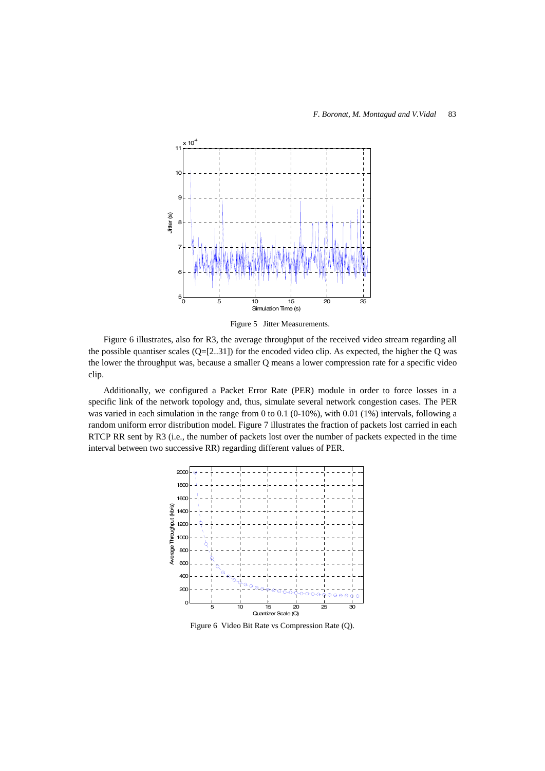

Figure 5 Jitter Measurements.

Figure 6 illustrates, also for R3, the average throughput of the received video stream regarding all the possible quantiser scales  $(Q=[2..31])$  for the encoded video clip. As expected, the higher the Q was the lower the throughput was, because a smaller Q means a lower compression rate for a specific video clip.

Additionally, we configured a Packet Error Rate (PER) module in order to force losses in a specific link of the network topology and, thus, simulate several network congestion cases. The PER was varied in each simulation in the range from 0 to 0.1 (0-10%), with 0.01 (1%) intervals, following a random uniform error distribution model. Figure 7 illustrates the fraction of packets lost carried in each RTCP RR sent by R3 (i.e., the number of packets lost over the number of packets expected in the time interval between two successive RR) regarding different values of PER.



Figure 6 Video Bit Rate vs Compression Rate (Q).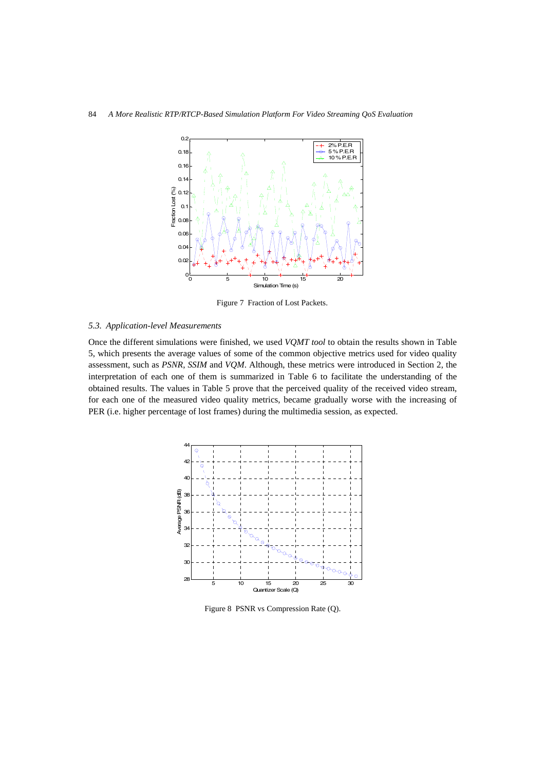

Figure 7 Fraction of Lost Packets.

## *5.3. Application-level Measurements*

Once the different simulations were finished, we used *VQMT tool* to obtain the results shown in Table 5, which presents the average values of some of the common objective metrics used for video quality assessment, such as *PSNR*, *SSIM* and *VQM*. Although, these metrics were introduced in Section 2, the interpretation of each one of them is summarized in Table 6 to facilitate the understanding of the obtained results. The values in Table 5 prove that the perceived quality of the received video stream, for each one of the measured video quality metrics, became gradually worse with the increasing of PER (i.e. higher percentage of lost frames) during the multimedia session, as expected.



Figure 8 PSNR vs Compression Rate (Q).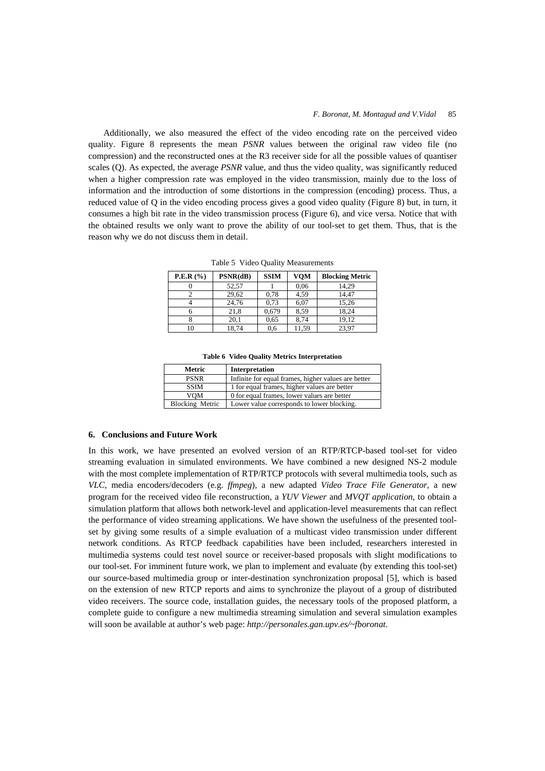Additionally, we also measured the effect of the video encoding rate on the perceived video quality. Figure 8 represents the mean *PSNR* values between the original raw video file (no compression) and the reconstructed ones at the R3 receiver side for all the possible values of quantiser scales (Q). As expected, the average *PSNR* value, and thus the video quality, was significantly reduced when a higher compression rate was employed in the video transmission, mainly due to the loss of information and the introduction of some distortions in the compression (encoding) process. Thus, a reduced value of Q in the video encoding process gives a good video quality (Figure 8) but, in turn, it consumes a high bit rate in the video transmission process (Figure 6), and vice versa. Notice that with the obtained results we only want to prove the ability of our tool-set to get them. Thus, that is the reason why we do not discuss them in detail.

| <b>P.E.R</b> $(\% )$ | PSNR(dB) | <b>SSIM</b> | <b>VOM</b> | <b>Blocking Metric</b> |
|----------------------|----------|-------------|------------|------------------------|
|                      | 52,57    |             | 0,06       | 14.29                  |
|                      | 29,62    | 0,78        | 4,59       | 14,47                  |
|                      | 24,76    | 0,73        | 6,07       | 15,26                  |
|                      | 21.8     | 0,679       | 8.59       | 18,24                  |
|                      | 20.1     | 0.65        | 8.74       | 19,12                  |
| 10                   | 18,74    | 0,6         | 11,59      | 23,97                  |

Table 5 Video Quality Measurements

|  |  |  |  | Table 6 Video Quality Metrics Interpretation |
|--|--|--|--|----------------------------------------------|
|--|--|--|--|----------------------------------------------|

| Metric                 | Interpretation                                      |
|------------------------|-----------------------------------------------------|
| <b>PSNR</b>            | Infinite for equal frames, higher values are better |
| <b>SSIM</b>            | 1 for equal frames, higher values are better        |
| VOM                    | 0 for equal frames, lower values are better         |
| <b>Blocking Metric</b> | Lower value corresponds to lower blocking.          |

## **6. Conclusions and Future Work**

In this work, we have presented an evolved version of an RTP/RTCP-based tool-set for video streaming evaluation in simulated environments. We have combined a new designed NS-2 module with the most complete implementation of RTP/RTCP protocols with several multimedia tools, such as *VLC*, media encoders/decoders (e.g. *ffmpeg*), a new adapted *Video Trace File Generator*, a new program for the received video file reconstruction, a *YUV Viewer* and *MVQT application*, to obtain a simulation platform that allows both network-level and application-level measurements that can reflect the performance of video streaming applications. We have shown the usefulness of the presented toolset by giving some results of a simple evaluation of a multicast video transmission under different network conditions. As RTCP feedback capabilities have been included, researchers interested in multimedia systems could test novel source or receiver-based proposals with slight modifications to our tool-set. For imminent future work, we plan to implement and evaluate (by extending this tool-set) our source-based multimedia group or inter-destination synchronization proposal [5], which is based on the extension of new RTCP reports and aims to synchronize the playout of a group of distributed video receivers. The source code, installation guides, the necessary tools of the proposed platform, a complete guide to configure a new multimedia streaming simulation and several simulation examples will soon be available at author's web page: *http://personales.gan.upv.es/~fboronat*.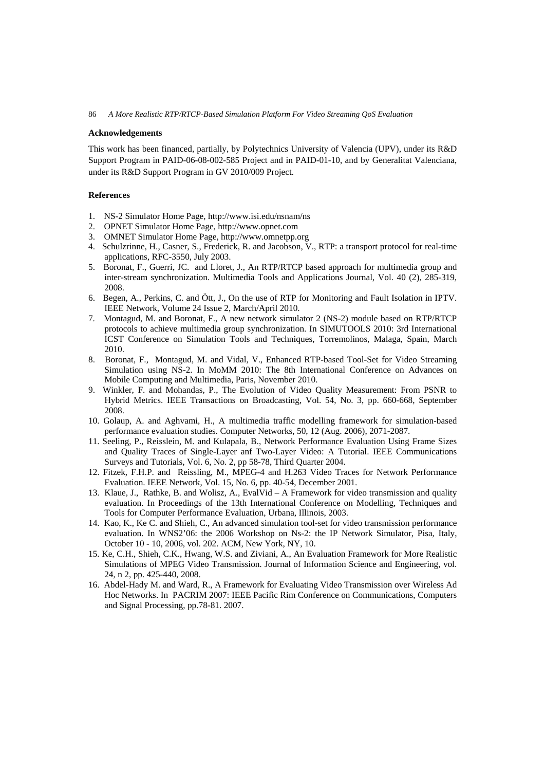#### **Acknowledgements**

This work has been financed, partially, by Polytechnics University of Valencia (UPV), under its R&D Support Program in PAID-06-08-002-585 Project and in PAID-01-10, and by Generalitat Valenciana, under its R&D Support Program in GV 2010/009 Project.

# **References**

- 1. NS-2 Simulator Home Page, http://www.isi.edu/nsnam/ns
- 2. OPNET Simulator Home Page, http://www.opnet.com
- 3. OMNET Simulator Home Page, http://www.omnetpp.org
- 4. Schulzrinne, H., Casner, S., Frederick, R. and Jacobson, V., RTP: a transport protocol for real-time applications, RFC-3550, July 2003.
- 5. Boronat, F., Guerri, JC. and Lloret, J., An RTP/RTCP based approach for multimedia group and inter-stream synchronization. Multimedia Tools and Applications Journal, Vol. 40 (2), 285-319, 2008.
- 6. Begen, A., Perkins, C. and Ött, J., On the use of RTP for Monitoring and Fault Isolation in IPTV. IEEE Network, Volume 24 Issue 2, March/April 2010.
- 7. Montagud, M. and Boronat, F., A new network simulator 2 (NS-2) module based on RTP/RTCP protocols to achieve multimedia group synchronization. In SIMUTOOLS 2010: 3rd International ICST Conference on Simulation Tools and Techniques, Torremolinos, Malaga, Spain, March 2010.
- 8. Boronat, F., Montagud, M. and Vidal, V., Enhanced RTP-based Tool-Set for Video Streaming Simulation using NS-2. In MoMM 2010: The 8th International Conference on Advances on Mobile Computing and Multimedia, Paris, November 2010.
- 9. Winkler, F. and Mohandas, P., The Evolution of Video Quality Measurement: From PSNR to Hybrid Metrics. IEEE Transactions on Broadcasting, Vol. 54, No. 3, pp. 660-668, September 2008.
- 10. Golaup, A. and Aghvami, H., A multimedia traffic modelling framework for simulation-based performance evaluation studies. Computer Networks, 50, 12 (Aug. 2006), 2071-2087.
- 11. Seeling, P., Reisslein, M. and Kulapala, B., Network Performance Evaluation Using Frame Sizes and Quality Traces of Single-Layer anf Two-Layer Video: A Tutorial. IEEE Communications Surveys and Tutorials, Vol. 6, No. 2, pp 58-78, Third Quarter 2004.
- 12. Fitzek, F.H.P. and Reissling, M., MPEG-4 and H.263 Video Traces for Network Performance Evaluation. IEEE Network, Vol. 15, No. 6, pp. 40-54, December 2001.
- 13. Klaue, J., Rathke, B. and Wolisz, A., EvalVid A Framework for video transmission and quality evaluation. In Proceedings of the 13th International Conference on Modelling, Techniques and Tools for Computer Performance Evaluation, Urbana, Illinois, 2003.
- 14. Kao, K., Ke C. and Shieh, C., An advanced simulation tool-set for video transmission performance evaluation. In WNS2'06: the 2006 Workshop on Ns-2: the IP Network Simulator, Pisa, Italy, October 10 - 10, 2006, vol. 202. ACM, New York, NY, 10.
- 15. Ke, C.H., Shieh, C.K., Hwang, W.S. and Ziviani, A., An Evaluation Framework for More Realistic Simulations of MPEG Video Transmission. Journal of Information Science and Engineering, vol. 24, n 2, pp. 425-440, 2008.
- 16. Abdel-Hady M. and Ward, R., A Framework for Evaluating Video Transmission over Wireless Ad Hoc Networks. In PACRIM 2007: IEEE Pacific Rim Conference on Communications, Computers and Signal Processing, pp.78-81. 2007.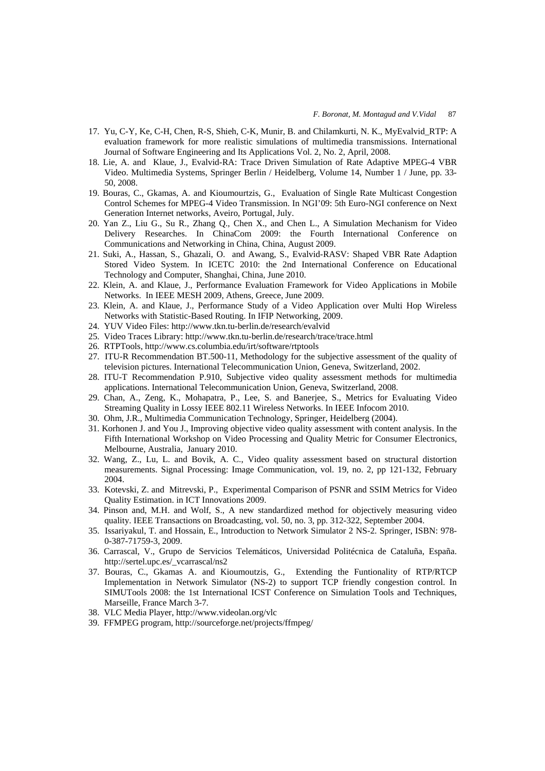- 17. Yu, C-Y, Ke, C-H, Chen, R-S, Shieh, C-K, Munir, B. and Chilamkurti, N. K., MyEvalvid\_RTP: A evaluation framework for more realistic simulations of multimedia transmissions. International Journal of Software Engineering and Its Applications Vol. 2, No. 2, April, 2008.
- 18. Lie, A. and Klaue, J., Evalvid-RA: Trace Driven Simulation of Rate Adaptive MPEG-4 VBR Video. Multimedia Systems, Springer Berlin / Heidelberg, Volume 14, Number 1 / June, pp. 33- 50, 2008.
- 19. Bouras, C., Gkamas, A. and Kioumourtzis, G., Evaluation of Single Rate Multicast Congestion Control Schemes for MPEG-4 Video Transmission. In NGI'09: 5th Euro-NGI conference on Next Generation Internet networks, Aveiro, Portugal, July.
- 20. Yan Z., Liu G., Su R., Zhang Q., Chen X., and Chen L., A Simulation Mechanism for Video Delivery Researches. In ChinaCom 2009: the Fourth International Conference on Communications and Networking in China, China, August 2009.
- 21. Suki, A., Hassan, S., Ghazali, O. and Awang, S., Evalvid-RASV: Shaped VBR Rate Adaption Stored Video System. In ICETC 2010: the 2nd International Conference on Educational Technology and Computer, Shanghai, China, June 2010.
- 22. Klein, A. and Klaue, J., Performance Evaluation Framework for Video Applications in Mobile Networks. In IEEE MESH 2009, Athens, Greece, June 2009.
- 23. Klein, A. and Klaue, J., Performance Study of a Video Application over Multi Hop Wireless Networks with Statistic-Based Routing. In IFIP Networking, 2009.
- 24. YUV Video Files: http://www.tkn.tu-berlin.de/research/evalvid
- 25. Video Traces Library: http://www.tkn.tu-berlin.de/research/trace/trace.html
- 26. RTPTools, http://www.cs.columbia.edu/irt/software/rtptools
- 27. ITU-R Recommendation BT.500-11, Methodology for the subjective assessment of the quality of television pictures. International Telecommunication Union, Geneva, Switzerland, 2002.
- 28. ITU-T Recommendation P.910, Subjective video quality assessment methods for multimedia applications. International Telecommunication Union, Geneva, Switzerland, 2008.
- 29. Chan, A., Zeng, K., Mohapatra, P., Lee, S. and Banerjee, S., Metrics for Evaluating Video Streaming Quality in Lossy IEEE 802.11 Wireless Networks. In IEEE Infocom 2010.
- 30. Ohm, J.R., Multimedia Communication Technology, Springer, Heidelberg (2004).
- 31. Korhonen J. and You J., Improving objective video quality assessment with content analysis. In the Fifth International Workshop on Video Processing and Quality Metric for Consumer Electronics, Melbourne, Australia, January 2010.
- 32. Wang, Z., Lu, L. and Bovik, A. C., Video quality assessment based on structural distortion measurements. Signal Processing: Image Communication, vol. 19, no. 2, pp 121-132, February 2004.
- 33. Kotevski, Z. and Mitrevski, P., Experimental Comparison of PSNR and SSIM Metrics for Video Quality Estimation. in ICT Innovations 2009.
- 34. Pinson and, M.H. and Wolf, S., A new standardized method for objectively measuring video quality. IEEE Transactions on Broadcasting, vol. 50, no. 3, pp. 312-322, September 2004.
- 35. Issariyakul, T. and Hossain, E., Introduction to Network Simulator 2 NS-2. Springer, ISBN: 978- 0-387-71759-3, 2009.
- 36. Carrascal, V., Grupo de Servicios Telemáticos, Universidad Politécnica de Cataluña, España. http://sertel.upc.es/\_vcarrascal/ns2
- 37. Bouras, C., Gkamas A. and Kioumoutzis, G., Extending the Funtionality of RTP/RTCP Implementation in Network Simulator (NS-2) to support TCP friendly congestion control. In SIMUTools 2008: the 1st International ICST Conference on Simulation Tools and Techniques, Marseille, France March 3-7.
- 38. VLC Media Player, http://www.videolan.org/vlc
- 39. FFMPEG program, http://sourceforge.net/projects/ffmpeg/